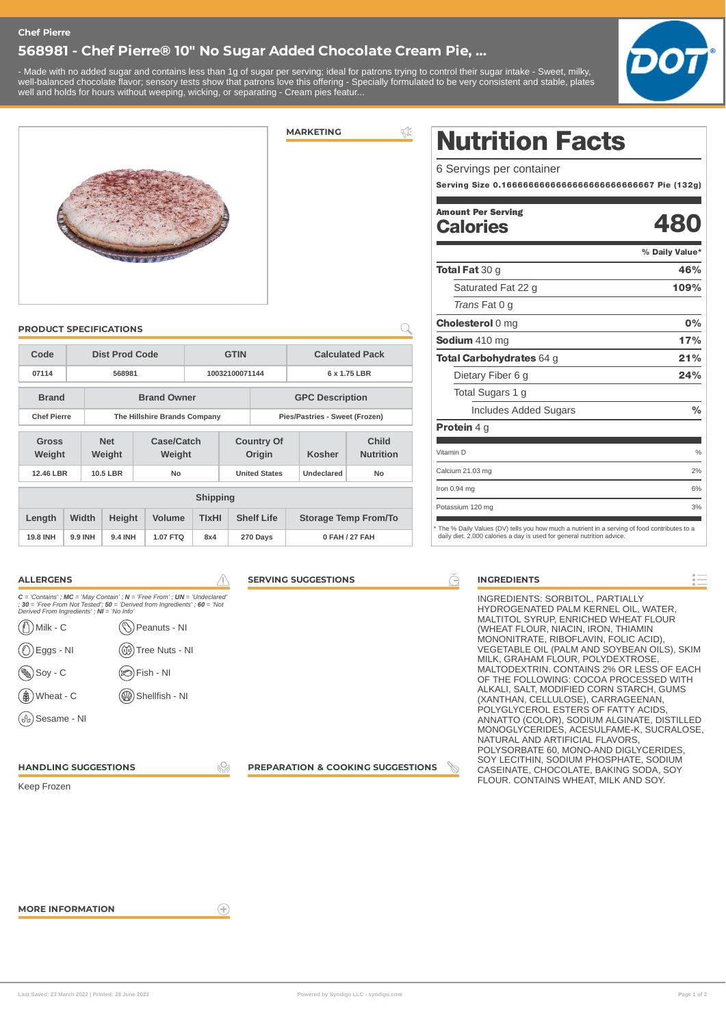#### **Chef Pierre**

### **568981 - Chef Pierre® 10" No Sugar Added Chocolate Cream Pie, ...**

- Made with no added sugar and contains less than 1g of sugar per serving; ideal for patrons trying to control their sugar intake - Sweet, milky, well-balanced chocolate flavor; sensory tests show that patrons love this offering - Specially formulated to be very consistent and stable, plates well and holds for hours without weeping, wicking, or separating - Cream pies featur...





**Code Dist Prod Code GTIN Calculated Pack 07114 568981 10032100071144 6 x 1.75 LBR Brand Brand Owner GPC Description Chef Pierre The Hillshire Brands Company Pies/Pastries - Sweet (Frozen)** 

**12.46 LBR 10.5 LBR No United States Undeclared No**

**Shipping Length Width Height Volume TIxHI Shelf Life Storage Temp From/To 19.8 INH 9.9 INH 9.4 INH 1.07 FTQ 8x4 270 Days 0 FAH / 27 FAH**

**Country Of**

**Origin Kosher**

**Child Nutrition**

**Case/Catch Weight**

**PRODUCT SPECIFICATIONS**

**Net Weight**

**Gross Weight**

# **MARKETING**

 $\leqslant$ 

 $\bigcap$ 

Nutrition Facts

6 Servings per container

Serving Size 0.1666666666666666666666666667 Pie (132g)

#### 480 Amount Per Serving **Calories**

|                                                                                                                                                                         | % Daily Value* |
|-------------------------------------------------------------------------------------------------------------------------------------------------------------------------|----------------|
| <b>Total Fat</b> 30 g                                                                                                                                                   | 46%            |
| Saturated Fat 22 g                                                                                                                                                      | 109%           |
| <i>Trans</i> Fat 0 g                                                                                                                                                    |                |
| <b>Cholesterol 0 mg</b>                                                                                                                                                 | 0%             |
| Sodium 410 mg                                                                                                                                                           | 17%            |
| <b>Total Carbohydrates 64 g</b>                                                                                                                                         | 21%            |
| Dietary Fiber 6 g                                                                                                                                                       | 24%            |
| Total Sugars 1 g                                                                                                                                                        |                |
| Includes Added Sugars                                                                                                                                                   | $\frac{0}{0}$  |
| <b>Protein</b> 4 g                                                                                                                                                      |                |
| Vitamin D                                                                                                                                                               | $\%$           |
| Calcium 21.03 mg                                                                                                                                                        | 2%             |
| Iron $0.94$ mg                                                                                                                                                          | 6%             |
| Potassium 120 mg                                                                                                                                                        | 3%             |
| * The % Daily Values (DV) tells you how much a nutrient in a serving of food contributes to a<br>daily diet. 2,000 calories a day is used for general nutrition advice. |                |

| <b>ALLERGENS</b>                                                                                                                                                                                                                                                                                                                                                                                                                                     | <b>SERVING SUGGESTIONS</b><br>$\rightarrow$  | <b>INGREDIENTS</b>                                                                                                                                                                                                                                                                                                                                                                                                                                                                                                                                                                                                                                                           |
|------------------------------------------------------------------------------------------------------------------------------------------------------------------------------------------------------------------------------------------------------------------------------------------------------------------------------------------------------------------------------------------------------------------------------------------------------|----------------------------------------------|------------------------------------------------------------------------------------------------------------------------------------------------------------------------------------------------------------------------------------------------------------------------------------------------------------------------------------------------------------------------------------------------------------------------------------------------------------------------------------------------------------------------------------------------------------------------------------------------------------------------------------------------------------------------------|
| $C =$ 'Contains'; MC = 'May Contain'; N = 'Free From'; UN = 'Undeclared'<br>$: 30 =$ 'Free From Not Tested'; $50 =$ 'Derived from Ingredients'; $60 =$ 'Not<br>Derived From Ingredients'; NI = 'No Info'<br>$\binom{n}{2}$ Milk - C<br>(└े) Peanuts - NI<br>$\circled{)}$ Eggs - NI<br>(1) Tree Nuts - NI<br>$\binom{6}{2}$ Soy - C<br>$(\otimes)$ Fish - NI<br>$\circledast$ Wheat - C<br>(Shellfish - NI<br>$(\mathcal{S}_{\partial})$ Sesame - NI |                                              | INGREDIENTS: SORBITOL, PARTIALLY<br>HYDROGENATED PALM KERNEL OIL, WATER,<br>MALTITOL SYRUP, ENRICHED WHEAT FLOUR<br>(WHEAT FLOUR, NIACIN, IRON, THIAMIN<br>MONONITRATE, RIBOFLAVIN, FOLIC ACID),<br>VEGETABLE OIL (PALM AND SOYBEAN OILS), SKIM<br>MILK, GRAHAM FLOUR, POLYDEXTROSE,<br>MALTODEXTRIN, CONTAINS 2% OR LESS OF EACH<br>OF THE FOLLOWING: COCOA PROCESSED WITH<br>ALKALI, SALT, MODIFIED CORN STARCH, GUMS<br>(XANTHAN, CELLULOSE), CARRAGEENAN,<br>POLYGLYCEROL ESTERS OF FATTY ACIDS,<br>ANNATTO (COLOR), SODIUM ALGINATE, DISTILLED<br>MONOGLYCERIDES, ACESULFAME-K, SUCRALOSE.<br>NATURAL AND ARTIFICIAL FLAVORS,<br>POLYSORBATE 60, MONO-AND DIGLYCERIDES, |
| <b>HANDLING SUGGESTIONS</b><br>Keep Frozen                                                                                                                                                                                                                                                                                                                                                                                                           | <b>PREPARATION &amp; COOKING SUGGESTIONS</b> | SOY LECITHIN, SODIUM PHOSPHATE, SODIUM<br>CASEINATE, CHOCOLATE, BAKING SODA, SOY<br>FLOUR. CONTAINS WHEAT, MILK AND SOY.                                                                                                                                                                                                                                                                                                                                                                                                                                                                                                                                                     |

 $\left( \widehat{+}\right)$